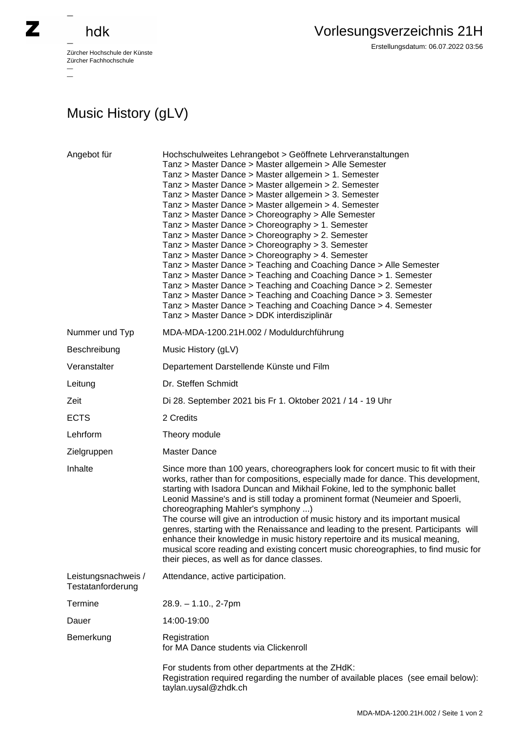

## hdk

—

 $\equiv$ 

Zürcher Hochschule der Künste Zürcher Fachhochschule —

Erstellungsdatum: 06.07.2022 03:56

## Music History (gLV)

| Angebot für                              | Hochschulweites Lehrangebot > Geöffnete Lehrveranstaltungen<br>Tanz > Master Dance > Master allgemein > Alle Semester<br>Tanz > Master Dance > Master allgemein > 1. Semester<br>Tanz > Master Dance > Master allgemein > 2. Semester<br>Tanz > Master Dance > Master allgemein > 3. Semester<br>Tanz > Master Dance > Master allgemein > 4. Semester<br>Tanz > Master Dance > Choreography > Alle Semester<br>Tanz > Master Dance > Choreography > 1. Semester<br>Tanz > Master Dance > Choreography > 2. Semester<br>Tanz > Master Dance > Choreography > 3. Semester<br>Tanz > Master Dance > Choreography > 4. Semester<br>Tanz > Master Dance > Teaching and Coaching Dance > Alle Semester<br>Tanz > Master Dance > Teaching and Coaching Dance > 1. Semester<br>Tanz > Master Dance > Teaching and Coaching Dance > 2. Semester<br>Tanz > Master Dance > Teaching and Coaching Dance > 3. Semester<br>Tanz > Master Dance > Teaching and Coaching Dance > 4. Semester<br>Tanz > Master Dance > DDK interdisziplinär |
|------------------------------------------|----------------------------------------------------------------------------------------------------------------------------------------------------------------------------------------------------------------------------------------------------------------------------------------------------------------------------------------------------------------------------------------------------------------------------------------------------------------------------------------------------------------------------------------------------------------------------------------------------------------------------------------------------------------------------------------------------------------------------------------------------------------------------------------------------------------------------------------------------------------------------------------------------------------------------------------------------------------------------------------------------------------------------|
| Nummer und Typ                           | MDA-MDA-1200.21H.002 / Moduldurchführung                                                                                                                                                                                                                                                                                                                                                                                                                                                                                                                                                                                                                                                                                                                                                                                                                                                                                                                                                                                   |
| Beschreibung                             | Music History (gLV)                                                                                                                                                                                                                                                                                                                                                                                                                                                                                                                                                                                                                                                                                                                                                                                                                                                                                                                                                                                                        |
| Veranstalter                             | Departement Darstellende Künste und Film                                                                                                                                                                                                                                                                                                                                                                                                                                                                                                                                                                                                                                                                                                                                                                                                                                                                                                                                                                                   |
| Leitung                                  | Dr. Steffen Schmidt                                                                                                                                                                                                                                                                                                                                                                                                                                                                                                                                                                                                                                                                                                                                                                                                                                                                                                                                                                                                        |
| Zeit                                     | Di 28. September 2021 bis Fr 1. Oktober 2021 / 14 - 19 Uhr                                                                                                                                                                                                                                                                                                                                                                                                                                                                                                                                                                                                                                                                                                                                                                                                                                                                                                                                                                 |
| <b>ECTS</b>                              | 2 Credits                                                                                                                                                                                                                                                                                                                                                                                                                                                                                                                                                                                                                                                                                                                                                                                                                                                                                                                                                                                                                  |
| Lehrform                                 | Theory module                                                                                                                                                                                                                                                                                                                                                                                                                                                                                                                                                                                                                                                                                                                                                                                                                                                                                                                                                                                                              |
| Zielgruppen                              | <b>Master Dance</b>                                                                                                                                                                                                                                                                                                                                                                                                                                                                                                                                                                                                                                                                                                                                                                                                                                                                                                                                                                                                        |
| Inhalte                                  | Since more than 100 years, choreographers look for concert music to fit with their<br>works, rather than for compositions, especially made for dance. This development,<br>starting with Isadora Duncan and Mikhail Fokine, led to the symphonic ballet<br>Leonid Massine's and is still today a prominent format (Neumeier and Spoerli,<br>choreographing Mahler's symphony )<br>The course will give an introduction of music history and its important musical<br>genres, starting with the Renaissance and leading to the present. Participants will<br>enhance their knowledge in music history repertoire and its musical meaning,<br>musical score reading and existing concert music choreographies, to find music for<br>their pieces, as well as for dance classes.                                                                                                                                                                                                                                              |
| Leistungsnachweis /<br>Testatanforderung | Attendance, active participation.                                                                                                                                                                                                                                                                                                                                                                                                                                                                                                                                                                                                                                                                                                                                                                                                                                                                                                                                                                                          |
| <b>Termine</b>                           | $28.9. - 1.10., 2-7pm$                                                                                                                                                                                                                                                                                                                                                                                                                                                                                                                                                                                                                                                                                                                                                                                                                                                                                                                                                                                                     |
| Dauer                                    | 14:00-19:00                                                                                                                                                                                                                                                                                                                                                                                                                                                                                                                                                                                                                                                                                                                                                                                                                                                                                                                                                                                                                |
| Bemerkung                                | Registration<br>for MA Dance students via Clickenroll                                                                                                                                                                                                                                                                                                                                                                                                                                                                                                                                                                                                                                                                                                                                                                                                                                                                                                                                                                      |
|                                          | For students from other departments at the ZHdK:<br>Registration required regarding the number of available places (see email below):<br>taylan.uysal@zhdk.ch                                                                                                                                                                                                                                                                                                                                                                                                                                                                                                                                                                                                                                                                                                                                                                                                                                                              |